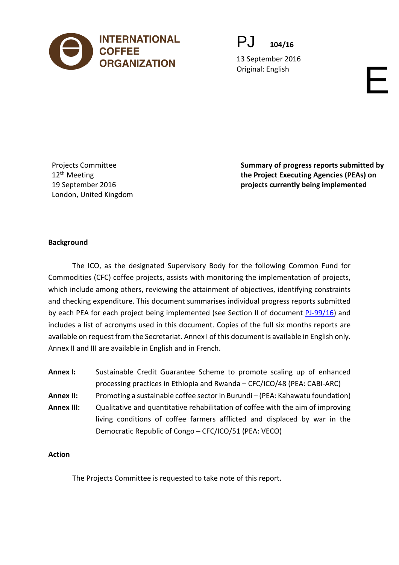

PJ **104/16**

13 September 2016 Original: English English English English English English English English English English English English English English English English English English English English English English English English English English Engl

Projects Committee 12<sup>th</sup> Meeting 19 September 2016 London, United Kingdom **Summary of progress reports submitted by the Project Executing Agencies (PEAs) on projects currently being implemented** 

### **Background**

The ICO, as the designated Supervisory Body for the following Common Fund for Commodities (CFC) coffee projects, assists with monitoring the implementation of projects, which include among others, reviewing the attainment of objectives, identifying constraints and checking expenditure. This document summarises individual progress reports submitted by each PEA for each project being implemented (see Section II of document [PJ-99/16\)](http://www.ico.org/documents/cy2015-16/pj-99e-projects.pdf) and includes a list of acronyms used in this document. Copies of the full six months reports are available on request from the Secretariat. Annex I of this document is available in English only. Annex II and III are available in English and in French.

| <b>Annex I:</b>   | Sustainable Credit Guarantee Scheme to promote scaling up of enhanced           |
|-------------------|---------------------------------------------------------------------------------|
|                   | processing practices in Ethiopia and Rwanda - CFC/ICO/48 (PEA: CABI-ARC)        |
| <b>Annex II:</b>  | Promoting a sustainable coffee sector in Burundi - (PEA: Kahawatu foundation)   |
| <b>Annex III:</b> | Qualitative and quantitative rehabilitation of coffee with the aim of improving |
|                   | living conditions of coffee farmers afflicted and displaced by war in the       |
|                   | Democratic Republic of Congo - CFC/ICO/51 (PEA: VECO)                           |

#### **Action**

The Projects Committee is requested to take note of this report.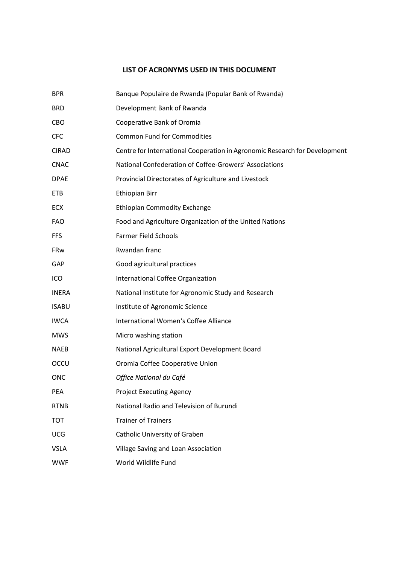#### **LIST OF ACRONYMS USED IN THIS DOCUMENT**

| <b>BPR</b>   | Banque Populaire de Rwanda (Popular Bank of Rwanda)                        |
|--------------|----------------------------------------------------------------------------|
| <b>BRD</b>   | Development Bank of Rwanda                                                 |
| CBO          | Cooperative Bank of Oromia                                                 |
| <b>CFC</b>   | <b>Common Fund for Commodities</b>                                         |
| <b>CIRAD</b> | Centre for International Cooperation in Agronomic Research for Development |
| <b>CNAC</b>  | National Confederation of Coffee-Growers' Associations                     |
| <b>DPAE</b>  | Provincial Directorates of Agriculture and Livestock                       |
| <b>ETB</b>   | <b>Ethiopian Birr</b>                                                      |
| ECX          | <b>Ethiopian Commodity Exchange</b>                                        |
| <b>FAO</b>   | Food and Agriculture Organization of the United Nations                    |
| <b>FFS</b>   | <b>Farmer Field Schools</b>                                                |
| FRw          | Rwandan franc                                                              |
| GAP          | Good agricultural practices                                                |
| ICO          | International Coffee Organization                                          |
| <b>INERA</b> | National Institute for Agronomic Study and Research                        |
| <b>ISABU</b> | Institute of Agronomic Science                                             |
| <b>IWCA</b>  | International Women's Coffee Alliance                                      |
| <b>MWS</b>   | Micro washing station                                                      |
| <b>NAEB</b>  | National Agricultural Export Development Board                             |
| OCCU         | Oromia Coffee Cooperative Union                                            |
| <b>ONC</b>   | Office National du Café                                                    |
| PEA          | <b>Project Executing Agency</b>                                            |
| <b>RTNB</b>  | National Radio and Television of Burundi                                   |
| <b>TOT</b>   | <b>Trainer of Trainers</b>                                                 |
| <b>UCG</b>   | Catholic University of Graben                                              |
| <b>VSLA</b>  | Village Saving and Loan Association                                        |
| <b>WWF</b>   | World Wildlife Fund                                                        |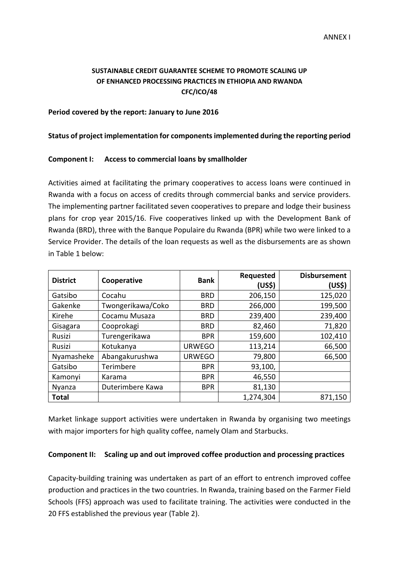### **SUSTAINABLE CREDIT GUARANTEE SCHEME TO PROMOTE SCALING UP OF ENHANCED PROCESSING PRACTICES IN ETHIOPIA AND RWANDA CFC/ICO/48**

#### **Period covered by the report: January to June 2016**

#### **Status of project implementation for components implemented during the reporting period**

#### **Component I: Access to commercial loans by smallholder**

Activities aimed at facilitating the primary cooperatives to access loans were continued in Rwanda with a focus on access of credits through commercial banks and service providers. The implementing partner facilitated seven cooperatives to prepare and lodge their business plans for crop year 2015/16. Five cooperatives linked up with the Development Bank of Rwanda (BRD), three with the Banque Populaire du Rwanda (BPR) while two were linked to a Service Provider. The details of the loan requests as well as the disbursements are as shown in Table 1 below:

| <b>District</b> | Cooperative       | <b>Bank</b>   | Requested<br>(US\$) | <b>Disbursement</b><br>(US\$) |
|-----------------|-------------------|---------------|---------------------|-------------------------------|
| Gatsibo         | Cocahu            | <b>BRD</b>    | 206,150             | 125,020                       |
| Gakenke         | Twongerikawa/Coko | <b>BRD</b>    | 266,000             | 199,500                       |
| Kirehe          | Cocamu Musaza     | <b>BRD</b>    | 239,400             | 239,400                       |
| Gisagara        | Cooprokagi        | <b>BRD</b>    | 82,460              | 71,820                        |
| <b>Rusizi</b>   | Turengerikawa     | <b>BPR</b>    | 159,600             | 102,410                       |
| Rusizi          | Kotukanya         | <b>URWEGO</b> | 113,214             | 66,500                        |
| Nyamasheke      | Abangakurushwa    | <b>URWEGO</b> | 79,800              | 66,500                        |
| Gatsibo         | Terimbere         | <b>BPR</b>    | 93,100,             |                               |
| Kamonyi         | Karama            | <b>BPR</b>    | 46,550              |                               |
| Nyanza          | Duterimbere Kawa  | <b>BPR</b>    | 81,130              |                               |
| <b>Total</b>    |                   |               | 1,274,304           | 871,150                       |

Market linkage support activities were undertaken in Rwanda by organising two meetings with major importers for high quality coffee, namely Olam and Starbucks.

#### **Component II: Scaling up and out improved coffee production and processing practices**

Capacity-building training was undertaken as part of an effort to entrench improved coffee production and practices in the two countries. In Rwanda, training based on the Farmer Field Schools (FFS) approach was used to facilitate training. The activities were conducted in the 20 FFS established the previous year (Table 2).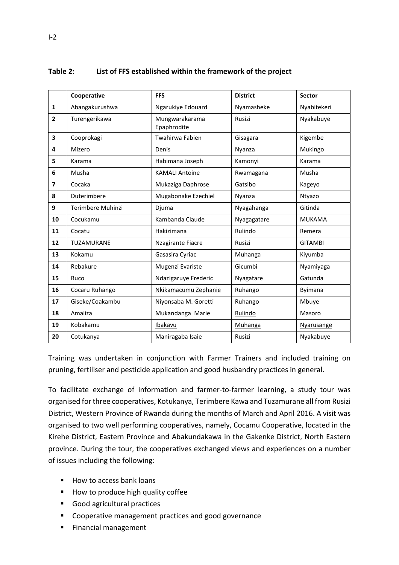|                         | Cooperative       | <b>FFS</b>                    | <b>District</b> | Sector         |
|-------------------------|-------------------|-------------------------------|-----------------|----------------|
| $\mathbf{1}$            | Abangakurushwa    | Ngarukiye Edouard             | Nyamasheke      | Nyabitekeri    |
| $\mathbf{2}$            | Turengerikawa     | Mungwarakarama<br>Epaphrodite | Rusizi          | Nyakabuye      |
| 3                       | Cooprokagi        | Twahirwa Fabien               | Gisagara        | Kigembe        |
| 4                       | Mizero            | Denis                         | Nyanza          | Mukingo        |
| 5                       | Karama            | Habimana Joseph               | Kamonyi         | Karama         |
| 6                       | Musha             | <b>KAMALI Antoine</b>         | Rwamagana       | Musha          |
| $\overline{\mathbf{z}}$ | Cocaka            | Mukaziga Daphrose             | Gatsibo         | Kageyo         |
| 8                       | Duterimbere       | Mugabonake Ezechiel           | Nyanza          | Ntyazo         |
| 9                       | Terimbere Muhinzi | Djuma                         | Nyagahanga      | Gitinda        |
| 10                      | Cocukamu          | Kambanda Claude               | Nyagagatare     | <b>MUKAMA</b>  |
| 11                      | Cocatu            | Hakizimana                    | Rulindo         | Remera         |
| 12                      | TUZAMURANE        | Nzagirante Fiacre             | Rusizi          | <b>GITAMBI</b> |
| 13                      | Kokamu            | Gasasira Cyriac               | Muhanga         | Kiyumba        |
| 14                      | Rebakure          | Mugenzi Evariste              | Gicumbi         | Nyamiyaga      |
| 15                      | Ruco              | Ndazigaruye Frederic          | Nyagatare       | Gatunda        |
| 16                      | Cocaru Ruhango    | Nkikamacumu Zephanie          | Ruhango         | <b>Byimana</b> |
| 17                      | Giseke/Coakambu   | Niyonsaba M. Goretti          | Ruhango         | Mbuye          |
| 18                      | Amaliza           | Mukandanga Marie              | Rulindo         | Masoro         |
| 19                      | Kobakamu          | Ibakavu                       | <b>Muhanga</b>  | Nyarusange     |
| 20                      | Cotukanya         | Maniragaba Isaie              | Rusizi          | Nyakabuye      |

#### **Table 2: List of FFS established within the framework of the project**

Training was undertaken in conjunction with Farmer Trainers and included training on pruning, fertiliser and pesticide application and good husbandry practices in general.

To facilitate exchange of information and farmer-to-farmer learning, a study tour was organised for three cooperatives, Kotukanya, Terimbere Kawa and Tuzamurane all from Rusizi District, Western Province of Rwanda during the months of March and April 2016. A visit was organised to two well performing cooperatives, namely, Cocamu Cooperative, located in the Kirehe District, Eastern Province and Abakundakawa in the Gakenke District, North Eastern province. During the tour, the cooperatives exchanged views and experiences on a number of issues including the following:

- How to access bank loans
- How to produce high quality coffee
- Good agricultural practices
- **EXECOOPERATIVE MANAgement practices and good governance**
- **Financial management**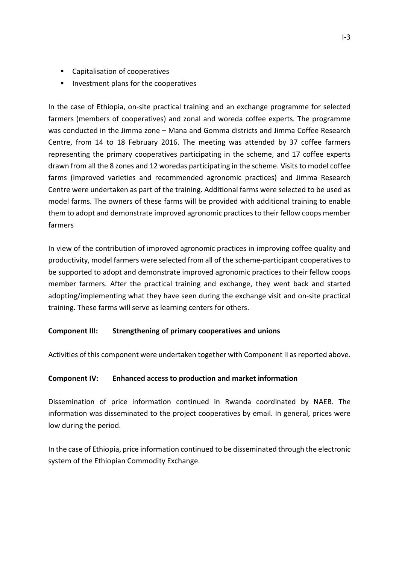- Capitalisation of cooperatives
- **Investment plans for the cooperatives**

In the case of Ethiopia, on-site practical training and an exchange programme for selected farmers (members of cooperatives) and zonal and woreda coffee experts. The programme was conducted in the Jimma zone – Mana and Gomma districts and Jimma Coffee Research Centre, from 14 to 18 February 2016. The meeting was attended by 37 coffee farmers representing the primary cooperatives participating in the scheme, and 17 coffee experts drawn from all the 8 zones and 12 woredas participating in the scheme. Visits to model coffee farms (improved varieties and recommended agronomic practices) and Jimma Research Centre were undertaken as part of the training. Additional farms were selected to be used as model farms. The owners of these farms will be provided with additional training to enable them to adopt and demonstrate improved agronomic practices to their fellow coops member farmers

In view of the contribution of improved agronomic practices in improving coffee quality and productivity, model farmers were selected from all of the scheme-participant cooperatives to be supported to adopt and demonstrate improved agronomic practices to their fellow coops member farmers. After the practical training and exchange, they went back and started adopting/implementing what they have seen during the exchange visit and on-site practical training. These farms will serve as learning centers for others.

### **Component III: Strengthening of primary cooperatives and unions**

Activities of this component were undertaken together with Component II as reported above.

#### **Component IV: Enhanced access to production and market information**

Dissemination of price information continued in Rwanda coordinated by NAEB. The information was disseminated to the project cooperatives by email. In general, prices were low during the period.

In the case of Ethiopia, price information continued to be disseminated through the electronic system of the Ethiopian Commodity Exchange.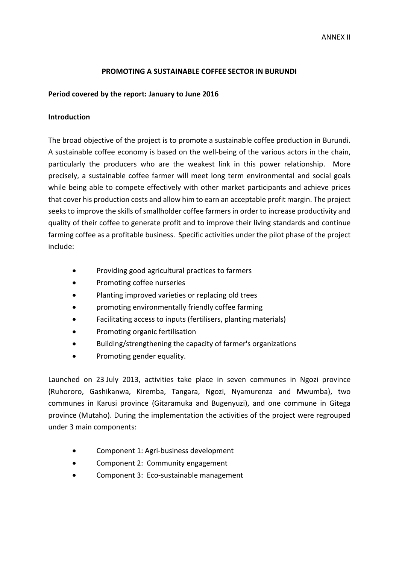#### **PROMOTING A SUSTAINABLE COFFEE SECTOR IN BURUNDI**

#### **Period covered by the report: January to June 2016**

#### **Introduction**

The broad objective of the project is to promote a sustainable coffee production in Burundi. A sustainable coffee economy is based on the well-being of the various actors in the chain, particularly the producers who are the weakest link in this power relationship. More precisely, a sustainable coffee farmer will meet long term environmental and social goals while being able to compete effectively with other market participants and achieve prices that cover his production costs and allow him to earn an acceptable profit margin. The project seeks to improve the skills of smallholder coffee farmers in order to increase productivity and quality of their coffee to generate profit and to improve their living standards and continue farming coffee as a profitable business. Specific activities under the pilot phase of the project include:

- Providing good agricultural practices to farmers
- Promoting coffee nurseries
- Planting improved varieties or replacing old trees
- promoting environmentally friendly coffee farming
- Facilitating access to inputs (fertilisers, planting materials)
- Promoting organic fertilisation
- Building/strengthening the capacity of farmer's organizations
- Promoting gender equality.

Launched on 23 July 2013, activities take place in seven communes in Ngozi province (Ruhororo, Gashikanwa, Kiremba, Tangara, Ngozi, Nyamurenza and Mwumba), two communes in Karusi province (Gitaramuka and Bugenyuzi), and one commune in Gitega province (Mutaho). During the implementation the activities of the project were regrouped under 3 main components:

- Component 1: Agri-business development
- Component 2: Community engagement
- Component 3: Eco-sustainable management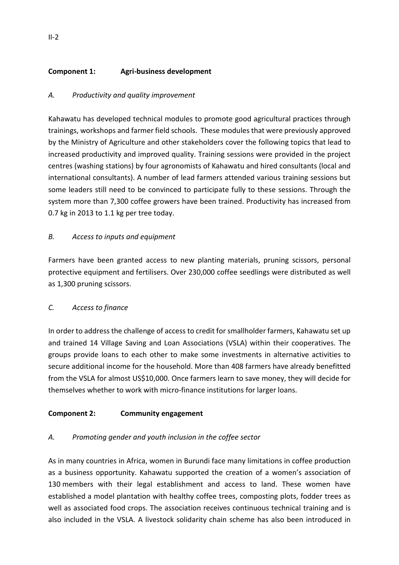# **Component 1: Agri-business development**

## *A. Productivity and quality improvement*

Kahawatu has developed technical modules to promote good agricultural practices through trainings, workshops and farmer field schools. These modules that were previously approved by the Ministry of Agriculture and other stakeholders cover the following topics that lead to increased productivity and improved quality. Training sessions were provided in the project centres (washing stations) by four agronomists of Kahawatu and hired consultants (local and international consultants). A number of lead farmers attended various training sessions but some leaders still need to be convinced to participate fully to these sessions. Through the system more than 7,300 coffee growers have been trained. Productivity has increased from 0.7 kg in 2013 to 1.1 kg per tree today.

## *B. Access to inputs and equipment*

Farmers have been granted access to new planting materials, pruning scissors, personal protective equipment and fertilisers. Over 230,000 coffee seedlings were distributed as well as 1,300 pruning scissors.

## *C. Access to finance*

In order to address the challenge of access to credit for smallholder farmers, Kahawatu set up and trained 14 Village Saving and Loan Associations (VSLA) within their cooperatives. The groups provide loans to each other to make some investments in alternative activities to secure additional income for the household. More than 408 farmers have already benefitted from the VSLA for almost US\$10,000. Once farmers learn to save money, they will decide for themselves whether to work with micro-finance institutions for larger loans.

## **Component 2: Community engagement**

## *A. Promoting gender and youth inclusion in the coffee sector*

As in many countries in Africa, women in Burundi face many limitations in coffee production as a business opportunity. Kahawatu supported the creation of a women's association of 130 members with their legal establishment and access to land. These women have established a model plantation with healthy coffee trees, composting plots, fodder trees as well as associated food crops. The association receives continuous technical training and is also included in the VSLA. A livestock solidarity chain scheme has also been introduced in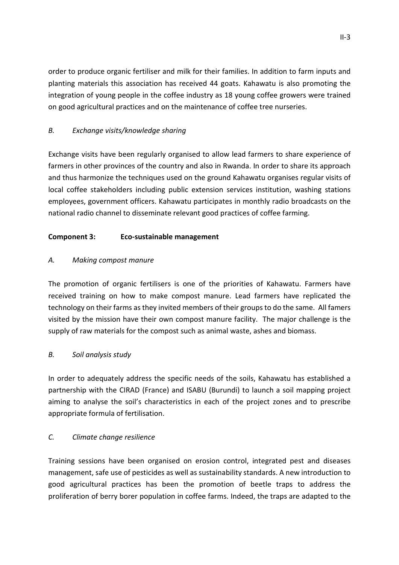order to produce organic fertiliser and milk for their families. In addition to farm inputs and planting materials this association has received 44 goats. Kahawatu is also promoting the integration of young people in the coffee industry as 18 young coffee growers were trained on good agricultural practices and on the maintenance of coffee tree nurseries.

## *B. Exchange visits/knowledge sharing*

Exchange visits have been regularly organised to allow lead farmers to share experience of farmers in other provinces of the country and also in Rwanda. In order to share its approach and thus harmonize the techniques used on the ground Kahawatu organises regular visits of local coffee stakeholders including public extension services institution, washing stations employees, government officers. Kahawatu participates in monthly radio broadcasts on the national radio channel to disseminate relevant good practices of coffee farming.

## **Component 3: Eco-sustainable management**

# *A. Making compost manure*

The promotion of organic fertilisers is one of the priorities of Kahawatu. Farmers have received training on how to make compost manure. Lead farmers have replicated the technology on their farms as they invited members of their groups to do the same. All famers visited by the mission have their own compost manure facility. The major challenge is the supply of raw materials for the compost such as animal waste, ashes and biomass.

## *B. Soil analysis study*

In order to adequately address the specific needs of the soils, Kahawatu has established a partnership with the CIRAD (France) and ISABU (Burundi) to launch a soil mapping project aiming to analyse the soil's characteristics in each of the project zones and to prescribe appropriate formula of fertilisation.

## *C. Climate change resilience*

Training sessions have been organised on erosion control, integrated pest and diseases management, safe use of pesticides as well as sustainability standards. A new introduction to good agricultural practices has been the promotion of beetle traps to address the proliferation of berry borer population in coffee farms. Indeed, the traps are adapted to the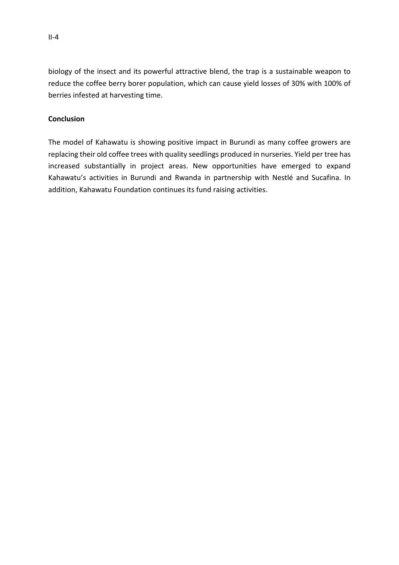biology of the insect and its powerful attractive blend, the trap is a sustainable weapon to reduce the coffee berry borer population, which can cause yield losses of 30% with 100% of berries infested at harvesting time.

### **Conclusion**

The model of Kahawatu is showing positive impact in Burundi as many coffee growers are replacing their old coffee trees with quality seedlings produced in nurseries. Yield per tree has increased substantially in project areas. New opportunities have emerged to expand Kahawatu's activities in Burundi and Rwanda in partnership with Nestlé and Sucafina. In addition, Kahawatu Foundation continues its fund raising activities.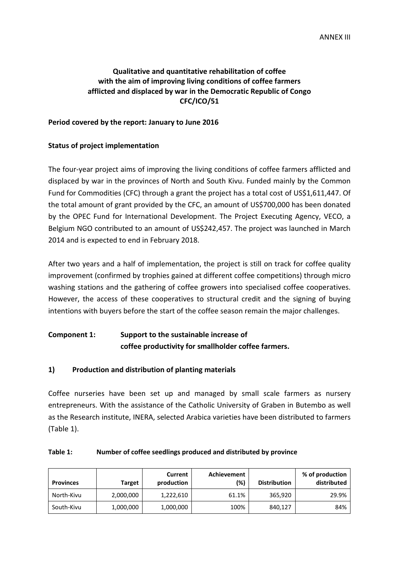### **Qualitative and quantitative rehabilitation of coffee with the aim of improving living conditions of coffee farmers afflicted and displaced by war in the Democratic Republic of Congo CFC/ICO/51**

#### **Period covered by the report: January to June 2016**

#### **Status of project implementation**

The four-year project aims of improving the living conditions of coffee farmers afflicted and displaced by war in the provinces of North and South Kivu. Funded mainly by the Common Fund for Commodities (CFC) through a grant the project has a total cost of US\$1,611,447. Of the total amount of grant provided by the CFC, an amount of US\$700,000 has been donated by the OPEC Fund for International Development. The Project Executing Agency, VECO, a Belgium NGO contributed to an amount of US\$242,457. The project was launched in March 2014 and is expected to end in February 2018.

After two years and a half of implementation, the project is still on track for coffee quality improvement (confirmed by trophies gained at different coffee competitions) through micro washing stations and the gathering of coffee growers into specialised coffee cooperatives. However, the access of these cooperatives to structural credit and the signing of buying intentions with buyers before the start of the coffee season remain the major challenges.

# **Component 1: Support to the sustainable increase of coffee productivity for smallholder coffee farmers.**

### **1) Production and distribution of planting materials**

Coffee nurseries have been set up and managed by small scale farmers as nursery entrepreneurs. With the assistance of the Catholic University of Graben in Butembo as well as the Research institute, INERA, selected Arabica varieties have been distributed to farmers (Table 1).

| <b>Provinces</b> | <b>Target</b> | Current<br>production | Achievement<br>(%) | <b>Distribution</b> | % of production<br>distributed |
|------------------|---------------|-----------------------|--------------------|---------------------|--------------------------------|
| North-Kivu       | 2,000,000     | 1,222,610             | 61.1%              | 365,920             | 29.9%                          |
| South-Kivu       | 1,000,000     | 1,000,000             | 100%               | 840,127             | 84%                            |

#### **Table 1: Number of coffee seedlings produced and distributed by province**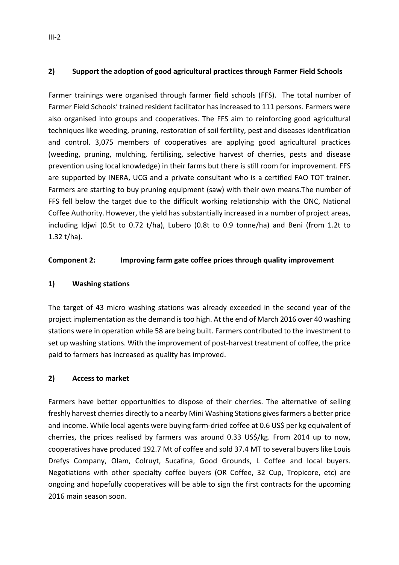### **2) Support the adoption of good agricultural practices through Farmer Field Schools**

Farmer trainings were organised through farmer field schools (FFS). The total number of Farmer Field Schools' trained resident facilitator has increased to 111 persons. Farmers were also organised into groups and cooperatives. The FFS aim to reinforcing good agricultural techniques like weeding, pruning, restoration of soil fertility, pest and diseases identification and control. 3,075 members of cooperatives are applying good agricultural practices (weeding, pruning, mulching, fertilising, selective harvest of cherries, pests and disease prevention using local knowledge) in their farms but there is still room for improvement. FFS are supported by INERA, UCG and a private consultant who is a certified FAO TOT trainer. Farmers are starting to buy pruning equipment (saw) with their own means.The number of FFS fell below the target due to the difficult working relationship with the ONC, National Coffee Authority. However, the yield has substantially increased in a number of project areas, including Idjwi (0.5t to 0.72 t/ha), Lubero (0.8t to 0.9 tonne/ha) and Beni (from 1.2t to 1.32 t/ha).

### **Component 2: Improving farm gate coffee prices through quality improvement**

### **1) Washing stations**

The target of 43 micro washing stations was already exceeded in the second year of the project implementation as the demand is too high. At the end of March 2016 over 40 washing stations were in operation while 58 are being built. Farmers contributed to the investment to set up washing stations. With the improvement of post-harvest treatment of coffee, the price paid to farmers has increased as quality has improved.

### **2) Access to market**

Farmers have better opportunities to dispose of their cherries. The alternative of selling freshly harvest cherries directly to a nearby Mini Washing Stations gives farmers a better price and income. While local agents were buying farm-dried coffee at 0.6 US\$ per kg equivalent of cherries, the prices realised by farmers was around 0.33 US\$/kg. From 2014 up to now, cooperatives have produced 192.7 Mt of coffee and sold 37.4 MT to several buyers like Louis Drefys Company, Olam, Colruyt, Sucafina, Good Grounds, L Coffee and local buyers. Negotiations with other specialty coffee buyers (OR Coffee, 32 Cup, Tropicore, etc) are ongoing and hopefully cooperatives will be able to sign the first contracts for the upcoming 2016 main season soon.